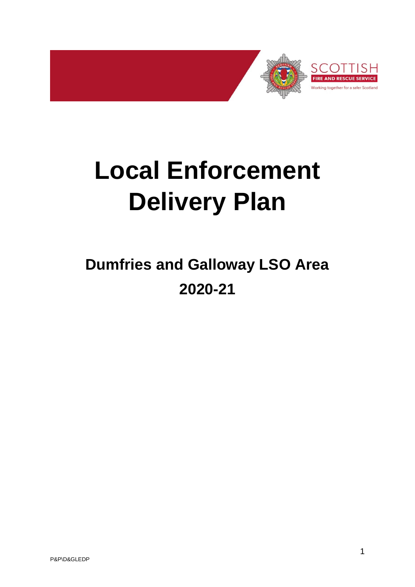

# **Local Enforcement Delivery Plan**

# **Dumfries and Galloway LSO Area 2020-21**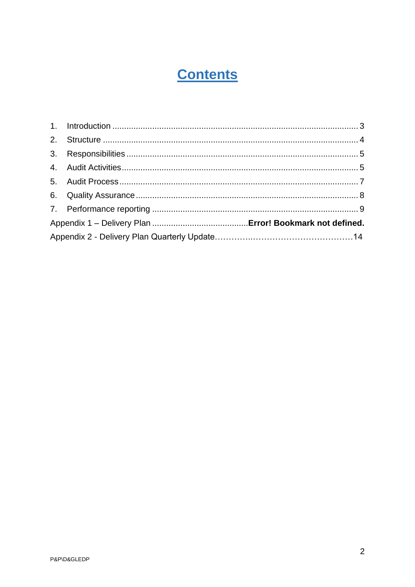# **Contents**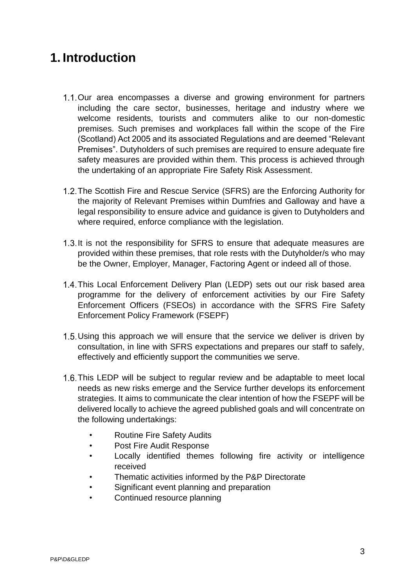#### <span id="page-2-0"></span>**1. Introduction**

- 1.1. Our area encompasses a diverse and growing environment for partners including the care sector, businesses, heritage and industry where we welcome residents, tourists and commuters alike to our non-domestic premises. Such premises and workplaces fall within the scope of the Fire (Scotland) Act 2005 and its associated Regulations and are deemed "Relevant Premises". Dutyholders of such premises are required to ensure adequate fire safety measures are provided within them. This process is achieved through the undertaking of an appropriate Fire Safety Risk Assessment.
- 1.2. The Scottish Fire and Rescue Service (SFRS) are the Enforcing Authority for the majority of Relevant Premises within Dumfries and Galloway and have a legal responsibility to ensure advice and guidance is given to Dutyholders and where required, enforce compliance with the legislation.
- 1.3. It is not the responsibility for SFRS to ensure that adequate measures are provided within these premises, that role rests with the Dutyholder/s who may be the Owner, Employer, Manager, Factoring Agent or indeed all of those.
- 1.4. This Local Enforcement Delivery Plan (LEDP) sets out our risk based area programme for the delivery of enforcement activities by our Fire Safety Enforcement Officers (FSEOs) in accordance with the SFRS Fire Safety Enforcement Policy Framework (FSEPF)
- 1.5. Using this approach we will ensure that the service we deliver is driven by consultation, in line with SFRS expectations and prepares our staff to safely, effectively and efficiently support the communities we serve.
- 1.6. This LEDP will be subject to regular review and be adaptable to meet local needs as new risks emerge and the Service further develops its enforcement strategies. It aims to communicate the clear intention of how the FSEPF will be delivered locally to achieve the agreed published goals and will concentrate on the following undertakings:
	- Routine Fire Safety Audits
	- Post Fire Audit Response
	- Locally identified themes following fire activity or intelligence received
	- Thematic activities informed by the P&P Directorate
	- Significant event planning and preparation
	- Continued resource planning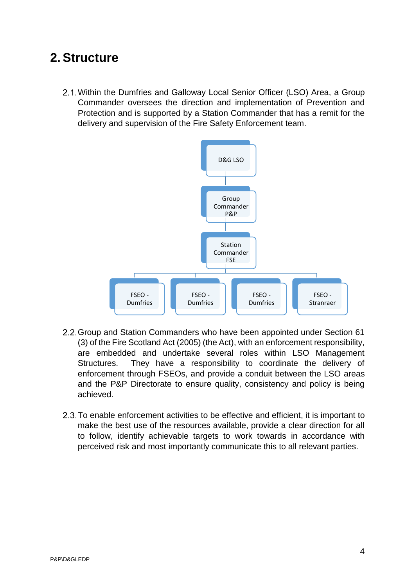#### <span id="page-3-0"></span>**2. Structure**

Within the Dumfries and Galloway Local Senior Officer (LSO) Area, a Group Commander oversees the direction and implementation of Prevention and Protection and is supported by a Station Commander that has a remit for the delivery and supervision of the Fire Safety Enforcement team.



- 2.2. Group and Station Commanders who have been appointed under Section 61 (3) of the Fire Scotland Act (2005) (the Act), with an enforcement responsibility, are embedded and undertake several roles within LSO Management Structures. They have a responsibility to coordinate the delivery of enforcement through FSEOs, and provide a conduit between the LSO areas and the P&P Directorate to ensure quality, consistency and policy is being achieved.
- 2.3. To enable enforcement activities to be effective and efficient, it is important to make the best use of the resources available, provide a clear direction for all to follow, identify achievable targets to work towards in accordance with perceived risk and most importantly communicate this to all relevant parties.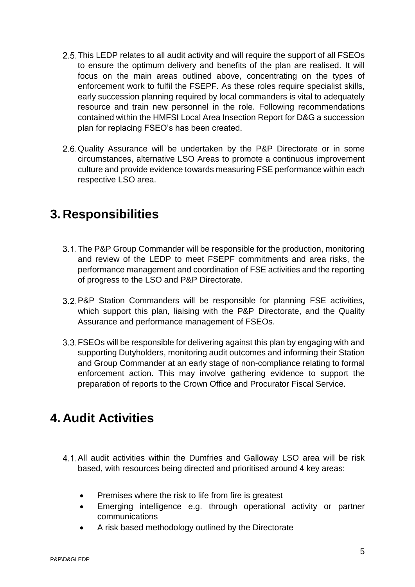- 2.5. This LEDP relates to all audit activity and will require the support of all FSEOs to ensure the optimum delivery and benefits of the plan are realised. It will focus on the main areas outlined above, concentrating on the types of enforcement work to fulfil the FSEPF. As these roles require specialist skills, early succession planning required by local commanders is vital to adequately resource and train new personnel in the role. Following recommendations contained within the HMFSI Local Area Insection Report for D&G a succession plan for replacing FSEO's has been created.
- 2.6. Quality Assurance will be undertaken by the P&P Directorate or in some circumstances, alternative LSO Areas to promote a continuous improvement culture and provide evidence towards measuring FSE performance within each respective LSO area.

#### <span id="page-4-0"></span>**3. Responsibilities**

- 3.1. The P&P Group Commander will be responsible for the production, monitoring and review of the LEDP to meet FSEPF commitments and area risks, the performance management and coordination of FSE activities and the reporting of progress to the LSO and P&P Directorate.
- P&P Station Commanders will be responsible for planning FSE activities, which support this plan, liaising with the P&P Directorate, and the Quality Assurance and performance management of FSEOs.
- FSEOs will be responsible for delivering against this plan by engaging with and supporting Dutyholders, monitoring audit outcomes and informing their Station and Group Commander at an early stage of non-compliance relating to formal enforcement action. This may involve gathering evidence to support the preparation of reports to the Crown Office and Procurator Fiscal Service.

## <span id="page-4-1"></span>**4. Audit Activities**

- All audit activities within the Dumfries and Galloway LSO area will be risk based, with resources being directed and prioritised around 4 key areas:
	- Premises where the risk to life from fire is greatest
	- Emerging intelligence e.g. through operational activity or partner communications
	- A risk based methodology outlined by the Directorate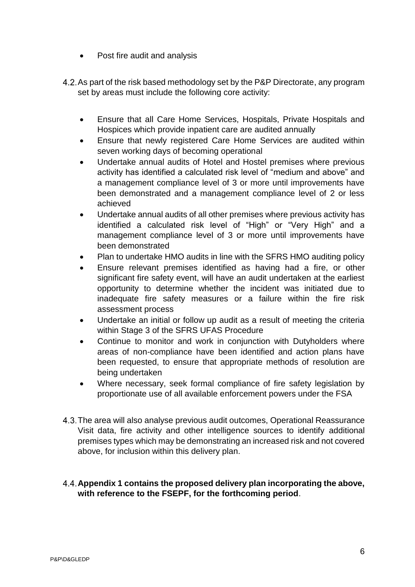- Post fire audit and analysis
- 4.2. As part of the risk based methodology set by the P&P Directorate, any program set by areas must include the following core activity:
	- Ensure that all Care Home Services, Hospitals, Private Hospitals and Hospices which provide inpatient care are audited annually
	- Ensure that newly registered Care Home Services are audited within seven working days of becoming operational
	- Undertake annual audits of Hotel and Hostel premises where previous activity has identified a calculated risk level of "medium and above" and a management compliance level of 3 or more until improvements have been demonstrated and a management compliance level of 2 or less achieved
	- Undertake annual audits of all other premises where previous activity has identified a calculated risk level of "High" or "Very High" and a management compliance level of 3 or more until improvements have been demonstrated
	- Plan to undertake HMO audits in line with the SFRS HMO auditing policy
	- Ensure relevant premises identified as having had a fire, or other significant fire safety event, will have an audit undertaken at the earliest opportunity to determine whether the incident was initiated due to inadequate fire safety measures or a failure within the fire risk assessment process
	- Undertake an initial or follow up audit as a result of meeting the criteria within Stage 3 of the SFRS UFAS Procedure
	- Continue to monitor and work in conjunction with Dutyholders where areas of non-compliance have been identified and action plans have been requested, to ensure that appropriate methods of resolution are being undertaken
	- Where necessary, seek formal compliance of fire safety legislation by proportionate use of all available enforcement powers under the FSA
- 4.3. The area will also analyse previous audit outcomes, Operational Reassurance Visit data, fire activity and other intelligence sources to identify additional premises types which may be demonstrating an increased risk and not covered above, for inclusion within this delivery plan.
- **Appendix 1 contains the proposed delivery plan incorporating the above, with reference to the FSEPF, for the forthcoming period**.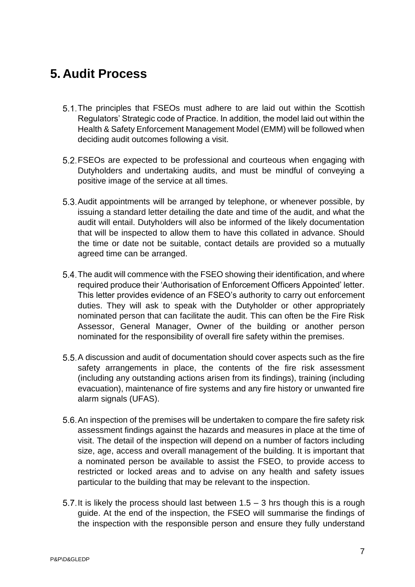## <span id="page-6-0"></span>**5. Audit Process**

- 5.1. The principles that FSEOs must adhere to are laid out within the Scottish Regulators' Strategic code of Practice. In addition, the model laid out within the Health & Safety Enforcement Management Model (EMM) will be followed when deciding audit outcomes following a visit.
- FSEOs are expected to be professional and courteous when engaging with Dutyholders and undertaking audits, and must be mindful of conveying a positive image of the service at all times.
- 5.3. Audit appointments will be arranged by telephone, or whenever possible, by issuing a standard letter detailing the date and time of the audit, and what the audit will entail. Dutyholders will also be informed of the likely documentation that will be inspected to allow them to have this collated in advance. Should the time or date not be suitable, contact details are provided so a mutually agreed time can be arranged.
- 5.4. The audit will commence with the FSEO showing their identification, and where required produce their 'Authorisation of Enforcement Officers Appointed' letter. This letter provides evidence of an FSEO's authority to carry out enforcement duties. They will ask to speak with the Dutyholder or other appropriately nominated person that can facilitate the audit. This can often be the Fire Risk Assessor, General Manager, Owner of the building or another person nominated for the responsibility of overall fire safety within the premises.
- 5.5. A discussion and audit of documentation should cover aspects such as the fire safety arrangements in place, the contents of the fire risk assessment (including any outstanding actions arisen from its findings), training (including evacuation), maintenance of fire systems and any fire history or unwanted fire alarm signals (UFAS).
- 5.6. An inspection of the premises will be undertaken to compare the fire safety risk assessment findings against the hazards and measures in place at the time of visit. The detail of the inspection will depend on a number of factors including size, age, access and overall management of the building. It is important that a nominated person be available to assist the FSEO, to provide access to restricted or locked areas and to advise on any health and safety issues particular to the building that may be relevant to the inspection.
- 5.7. It is likely the process should last between  $1.5 3$  hrs though this is a rough guide. At the end of the inspection, the FSEO will summarise the findings of the inspection with the responsible person and ensure they fully understand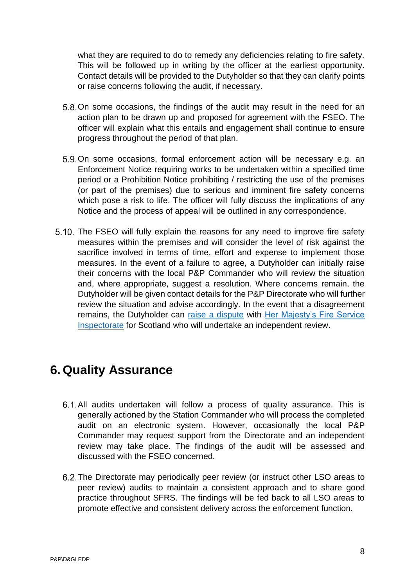what they are required to do to remedy any deficiencies relating to fire safety. This will be followed up in writing by the officer at the earliest opportunity. Contact details will be provided to the Dutyholder so that they can clarify points or raise concerns following the audit, if necessary.

- 5.8. On some occasions, the findings of the audit may result in the need for an action plan to be drawn up and proposed for agreement with the FSEO. The officer will explain what this entails and engagement shall continue to ensure progress throughout the period of that plan.
- 5.9. On some occasions, formal enforcement action will be necessary e.g. an Enforcement Notice requiring works to be undertaken within a specified time period or a Prohibition Notice prohibiting / restricting the use of the premises (or part of the premises) due to serious and imminent fire safety concerns which pose a risk to life. The officer will fully discuss the implications of any Notice and the process of appeal will be outlined in any correspondence.
- 5.10. The FSEO will fully explain the reasons for any need to improve fire safety measures within the premises and will consider the level of risk against the sacrifice involved in terms of time, effort and expense to implement those measures. In the event of a failure to agree, a Dutyholder can initially raise their concerns with the local P&P Commander who will review the situation and, where appropriate, suggest a resolution. Where concerns remain, the Dutyholder will be given contact details for the P&P Directorate who will further review the situation and advise accordingly. In the event that a disagreement remains, the Dutyholder can [raise a dispute](http://www.gov.scot/Resource/0048/00481729.pdf) with [Her Majesty's Fire Service](http://www.gov.scot/about/public-bodies/HMFSI)  [Inspectorate](http://www.gov.scot/about/public-bodies/HMFSI) for Scotland who will undertake an independent review.

#### <span id="page-7-0"></span>**6. Quality Assurance**

- 6.1. All audits undertaken will follow a process of quality assurance. This is generally actioned by the Station Commander who will process the completed audit on an electronic system. However, occasionally the local P&P Commander may request support from the Directorate and an independent review may take place. The findings of the audit will be assessed and discussed with the FSEO concerned.
- 6.2. The Directorate may periodically peer review (or instruct other LSO areas to peer review) audits to maintain a consistent approach and to share good practice throughout SFRS. The findings will be fed back to all LSO areas to promote effective and consistent delivery across the enforcement function.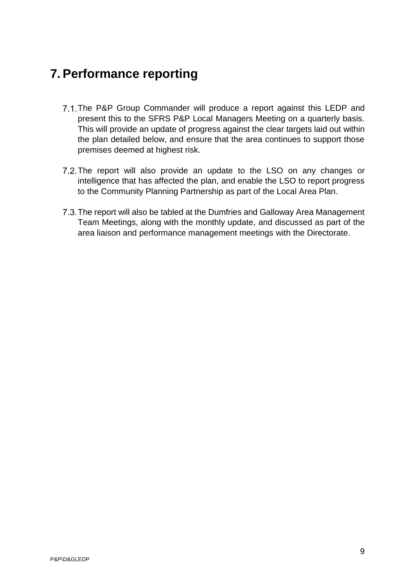# <span id="page-8-0"></span>**7. Performance reporting**

- 7.1. The P&P Group Commander will produce a report against this LEDP and present this to the SFRS P&P Local Managers Meeting on a quarterly basis. This will provide an update of progress against the clear targets laid out within the plan detailed below, and ensure that the area continues to support those premises deemed at highest risk.
- 7.2. The report will also provide an update to the LSO on any changes or intelligence that has affected the plan, and enable the LSO to report progress to the Community Planning Partnership as part of the Local Area Plan.
- 7.3. The report will also be tabled at the Dumfries and Galloway Area Management Team Meetings, along with the monthly update, and discussed as part of the area liaison and performance management meetings with the Directorate.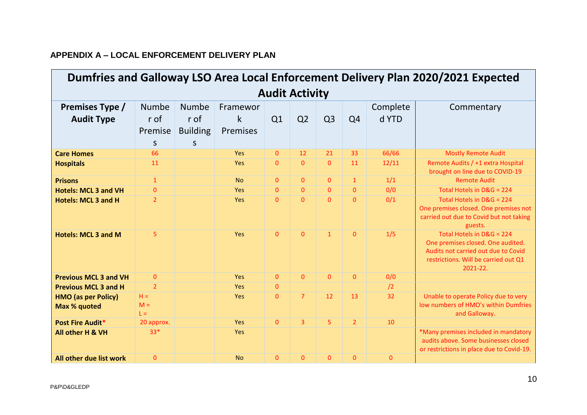#### **APPENDIX A – LOCAL ENFORCEMENT DELIVERY PLAN**

| Dumfries and Galloway LSO Area Local Enforcement Delivery Plan 2020/2021 Expected |                                      |                                                    |                                  |                |                |                |                |                   |                                                                                                                                                           |
|-----------------------------------------------------------------------------------|--------------------------------------|----------------------------------------------------|----------------------------------|----------------|----------------|----------------|----------------|-------------------|-----------------------------------------------------------------------------------------------------------------------------------------------------------|
| <b>Audit Activity</b>                                                             |                                      |                                                    |                                  |                |                |                |                |                   |                                                                                                                                                           |
| Premises Type /<br><b>Audit Type</b>                                              | <b>Numbe</b><br>r of<br>Premise<br>S | <b>Numbe</b><br>r of<br><b>Building</b><br>$\sf S$ | Framewor<br>k<br><b>Premises</b> | Q1             | Q <sub>2</sub> | Q <sub>3</sub> | Q <sub>4</sub> | Complete<br>d YTD | Commentary                                                                                                                                                |
| <b>Care Homes</b>                                                                 | 66                                   |                                                    | <b>Yes</b>                       | $\mathbf{0}$   | 12             | 21             | 33             | 66/66             | <b>Mostly Remote Audit</b>                                                                                                                                |
| <b>Hospitals</b>                                                                  | 11                                   |                                                    | Yes                              | $\overline{0}$ | $\overline{0}$ | $\overline{0}$ | 11             | 12/11             | Remote Audits / +1 extra Hospital<br>brought on line due to COVID-19                                                                                      |
| <b>Prisons</b>                                                                    | $\mathbf{1}$                         |                                                    | <b>No</b>                        | $\mathbf{0}$   | $\Omega$       | $\mathbf{0}$   | $\mathbf{1}$   | 1/1               | <b>Remote Audit</b>                                                                                                                                       |
| <b>Hotels: MCL 3 and VH</b>                                                       | $\overline{0}$                       |                                                    | Yes                              | $\overline{0}$ | $\Omega$       | $\Omega$       | $\overline{0}$ | 0/0               | Total Hotels in D&G = 224                                                                                                                                 |
| <b>Hotels: MCL 3 and H</b>                                                        | $\overline{2}$                       |                                                    | <b>Yes</b>                       | $\mathbf{0}$   | $\mathbf{0}$   | $\Omega$       | $\Omega$       | 0/1               | Total Hotels in D&G = 224<br>One premises closed. One premises not<br>carried out due to Covid but not taking<br>guests.                                  |
| <b>Hotels: MCL 3 and M</b>                                                        | 5                                    |                                                    | <b>Yes</b>                       | $\mathbf{0}$   | $\mathbf{0}$   | $\mathbf{1}$   | $\mathbf{0}$   | 1/5               | Total Hotels in D&G = 224<br>One premises closed. One audited.<br>Audits not carried out due to Covid<br>restrictions. Will be carried out Q1<br>2021-22. |
| <b>Previous MCL 3 and VH</b>                                                      | $\mathbf{0}$                         |                                                    | Yes                              | $\Omega$       | $\Omega$       | $\overline{0}$ | $\mathbf{0}$   | 0/0               |                                                                                                                                                           |
| <b>Previous MCL 3 and H</b>                                                       | $\overline{2}$                       |                                                    | <b>Yes</b>                       | $\mathbf{0}$   |                |                |                | /2                |                                                                                                                                                           |
| <b>HMO</b> (as per Policy)<br>Max % quoted                                        | $H =$<br>$M =$<br>L=.                |                                                    | Yes                              | $\overline{0}$ | $\overline{7}$ | 12             | 13             | 32                | Unable to operate Policy due to very<br>low numbers of HMO's within Dumfries<br>and Galloway.                                                             |
| <b>Post Fire Audit*</b>                                                           | 20 approx.                           |                                                    | Yes                              | $\Omega$       | 3 <sup>1</sup> | 5 <sup>1</sup> | $\overline{2}$ | 10                |                                                                                                                                                           |
| All other H & VH                                                                  | $33*$                                |                                                    | <b>Yes</b>                       |                |                |                |                |                   | *Many premises included in mandatory<br>audits above. Some businesses closed<br>or restrictions in place due to Covid-19.                                 |
| All other due list work                                                           | $\mathbf{0}$                         |                                                    | <b>No</b>                        | $\overline{0}$ | $\mathbf{0}$   | $\overline{0}$ | $\mathbf{0}$   | $\overline{0}$    |                                                                                                                                                           |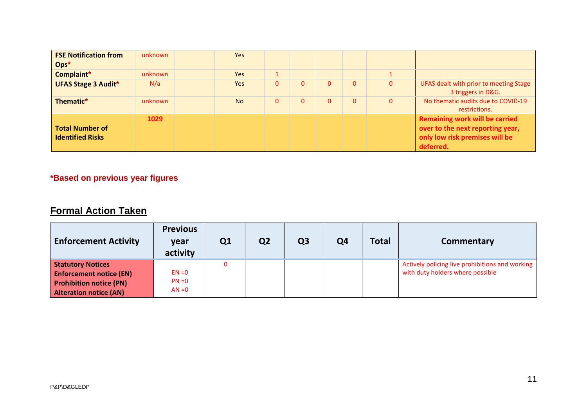| <b>FSE Notification from</b><br>$Ops^*$           | unknown | <b>Yes</b> |   |              |          |              |              |                                                                                                                          |
|---------------------------------------------------|---------|------------|---|--------------|----------|--------------|--------------|--------------------------------------------------------------------------------------------------------------------------|
| Complaint*                                        | unknown | Yes        |   |              |          |              |              |                                                                                                                          |
| <b>UFAS Stage 3 Audit*</b>                        | N/a     | Yes        | 0 | $\mathbf{0}$ | $\Omega$ | $\mathbf{0}$ | 0            | UFAS dealt with prior to meeting Stage<br>3 triggers in D&G.                                                             |
| Thematic*                                         | unknown | <b>No</b>  | 0 | $\Omega$     | $\Omega$ | $\Omega$     | $\mathbf{0}$ | No thematic audits due to COVID-19<br>restrictions.                                                                      |
| <b>Total Number of</b><br><b>Identified Risks</b> | 1029    |            |   |              |          |              |              | <b>Remaining work will be carried</b><br>over to the next reporting year,<br>only low risk premises will be<br>deferred. |

#### **\*Based on previous year figures**

#### **Formal Action Taken**

| <b>Enforcement Activity</b>                                                                                                   | <b>Previous</b><br>year<br>activity | Q1 | Q <sub>2</sub> | Q <sub>3</sub> | Q4 | <b>Total</b> | Commentary                                                                          |
|-------------------------------------------------------------------------------------------------------------------------------|-------------------------------------|----|----------------|----------------|----|--------------|-------------------------------------------------------------------------------------|
| <b>Statutory Notices</b><br><b>Enforcement notice (EN)</b><br><b>Prohibition notice (PN)</b><br><b>Alteration notice (AN)</b> | $EN = 0$<br>$PN = 0$<br>$AN = 0$    |    |                |                |    |              | Actively policing live prohibitions and working<br>with duty holders where possible |